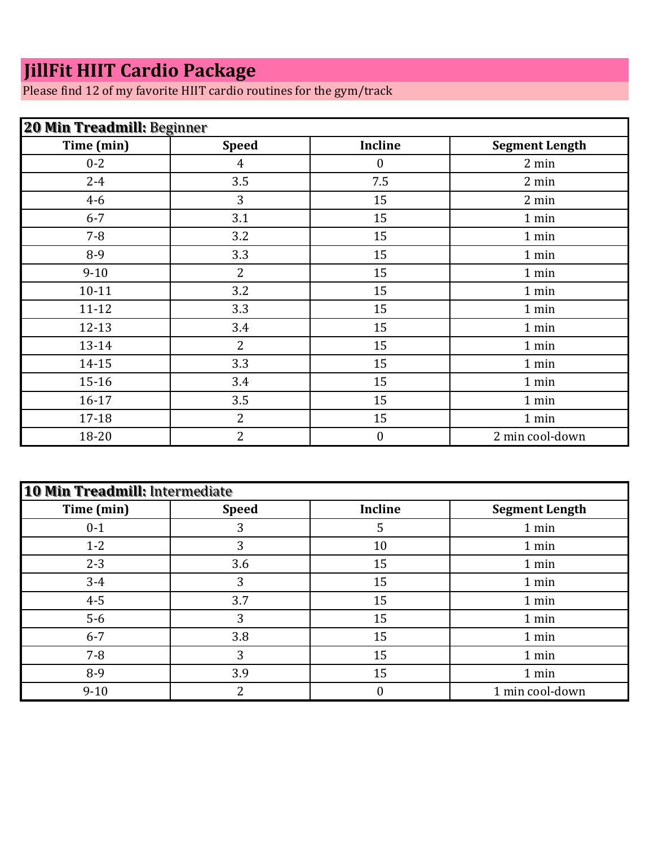## **JillFit HIIT Cardio Package**

Please find 12 of my favorite HIIT cardio routines for the gym/track

| <b>20 Min Treadmill: Beginner</b> |                |                  |                       |
|-----------------------------------|----------------|------------------|-----------------------|
| Time (min)                        | <b>Speed</b>   | <b>Incline</b>   | <b>Segment Length</b> |
| $0 - 2$                           | $\overline{4}$ | $\boldsymbol{0}$ | 2 min                 |
| $2 - 4$                           | 3.5            | 7.5              | 2 min                 |
| $4 - 6$                           | 3              | 15               | 2 min                 |
| $6 - 7$                           | 3.1            | 15               | 1 min                 |
| $7 - 8$                           | 3.2            | 15               | 1 min                 |
| 8-9                               | 3.3            | 15               | 1 min                 |
| $9 - 10$                          | $\overline{2}$ | 15               | 1 min                 |
| $10 - 11$                         | 3.2            | 15               | 1 min                 |
| $11 - 12$                         | 3.3            | 15               | 1 min                 |
| $12 - 13$                         | 3.4            | 15               | 1 min                 |
| 13-14                             | 2              | 15               | 1 min                 |
| $14 - 15$                         | 3.3            | 15               | 1 min                 |
| $15 - 16$                         | 3.4            | 15               | 1 min                 |
| 16-17                             | 3.5            | 15               | 1 min                 |
| 17-18                             | $\overline{2}$ | 15               | 1 min                 |
| 18-20                             | 2              | $\boldsymbol{0}$ | 2 min cool-down       |

| 10 Min Treadmill: Intermediate |              |                |                       |
|--------------------------------|--------------|----------------|-----------------------|
| Time (min)                     | <b>Speed</b> | <b>Incline</b> | <b>Segment Length</b> |
| $0 - 1$                        | 3            | 5              | 1 min                 |
| $1 - 2$                        | 3            | 10             | 1 min                 |
| $2 - 3$                        | 3.6          | 15             | 1 min                 |
| $3 - 4$                        | 3            | 15             | 1 min                 |
| $4 - 5$                        | 3.7          | 15             | 1 min                 |
| $5-6$                          | 3            | 15             | 1 min                 |
| $6 - 7$                        | 3.8          | 15             | 1 min                 |
| $7 - 8$                        | 3            | 15             | 1 min                 |
| 8-9                            | 3.9          | 15             | 1 min                 |
| $9 - 10$                       | າ            | 0              | 1 min cool-down       |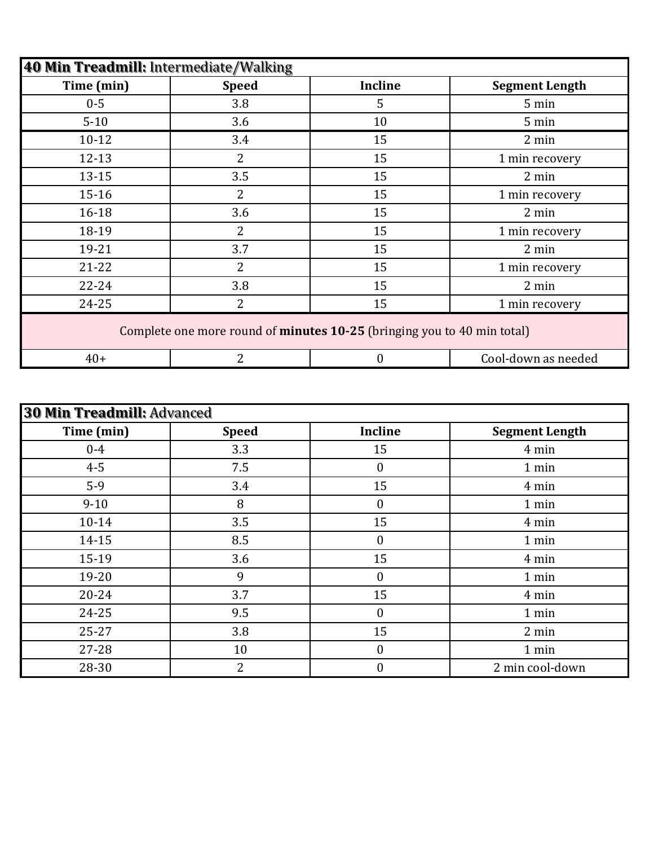| 40 Min Treadmill: Intermediate/Walking |                                                                         |                |                       |
|----------------------------------------|-------------------------------------------------------------------------|----------------|-----------------------|
| Time (min)                             | <b>Speed</b>                                                            | <b>Incline</b> | <b>Segment Length</b> |
| $0 - 5$                                | 3.8                                                                     | 5              | 5 min                 |
| $5 - 10$                               | 3.6                                                                     | 10             | 5 min                 |
| $10 - 12$                              | 3.4                                                                     | 15             | 2 min                 |
| $12 - 13$                              | $\overline{2}$                                                          | 15             | 1 min recovery        |
| $13 - 15$                              | 3.5                                                                     | 15             | 2 min                 |
| $15 - 16$                              | $\overline{2}$                                                          | 15             | 1 min recovery        |
| $16 - 18$                              | 3.6                                                                     | 15             | 2 min                 |
| 18-19                                  | $\overline{2}$                                                          | 15             | 1 min recovery        |
| 19-21                                  | 3.7                                                                     | 15             | 2 min                 |
| $21 - 22$                              | $\overline{2}$                                                          | 15             | 1 min recovery        |
| $22 - 24$                              | 3.8                                                                     | 15             | 2 min                 |
| 24-25                                  | $\overline{2}$                                                          | 15             | 1 min recovery        |
|                                        | Complete one more round of minutes 10-25 (bringing you to 40 min total) |                |                       |
| $40+$                                  | $\overline{2}$                                                          | $\overline{0}$ | Cool-down as needed   |

| <b>30 Min Treadmill: Advanced</b> |              |                  |                       |
|-----------------------------------|--------------|------------------|-----------------------|
| Time (min)                        | <b>Speed</b> | <b>Incline</b>   | <b>Segment Length</b> |
| $0-4$                             | 3.3          | 15               | 4 min                 |
| $4 - 5$                           | 7.5          | 0                | 1 min                 |
| $5-9$                             | 3.4          | 15               | 4 min                 |
| $9 - 10$                          | 8            | 0                | 1 min                 |
| $10 - 14$                         | 3.5          | 15               | 4 min                 |
| 14-15                             | 8.5          | $\boldsymbol{0}$ | 1 min                 |
| 15-19                             | 3.6          | 15               | 4 min                 |
| 19-20                             | 9            | $\boldsymbol{0}$ | 1 min                 |
| $20 - 24$                         | 3.7          | 15               | 4 min                 |
| 24-25                             | 9.5          | $\boldsymbol{0}$ | 1 min                 |
| $25 - 27$                         | 3.8          | 15               | 2 min                 |
| 27-28                             | 10           | $\boldsymbol{0}$ | 1 min                 |
| 28-30                             | 2            | 0                | 2 min cool-down       |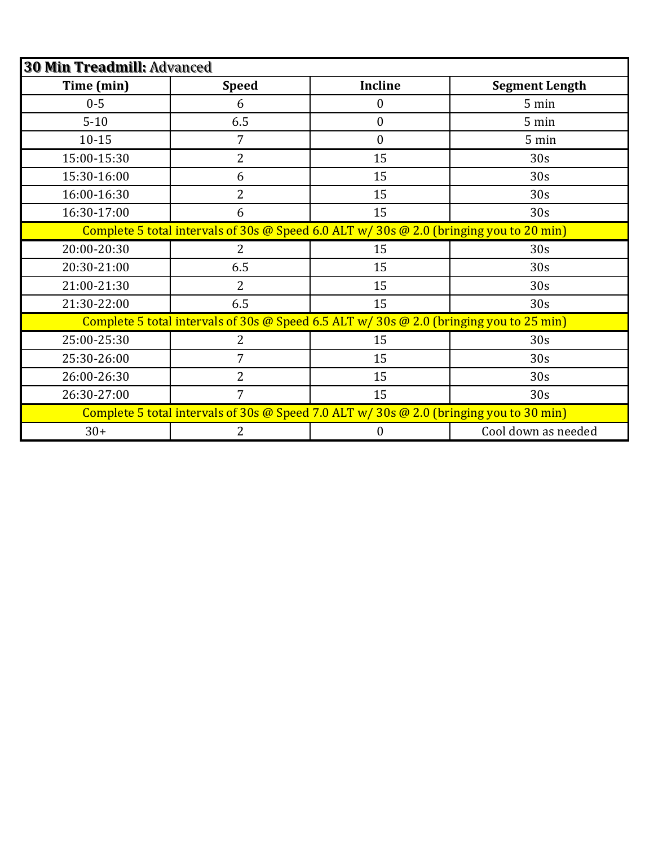| <b>30 Min Treadmill: Advanced</b> |                                                                                           |                  |                       |  |
|-----------------------------------|-------------------------------------------------------------------------------------------|------------------|-----------------------|--|
| Time (min)                        | <b>Speed</b>                                                                              | <b>Incline</b>   | <b>Segment Length</b> |  |
| $0 - 5$                           | 6                                                                                         | $\boldsymbol{0}$ | 5 min                 |  |
| $5 - 10$                          | 6.5                                                                                       | $\boldsymbol{0}$ | 5 min                 |  |
| $10 - 15$                         | 7                                                                                         | $\overline{0}$   | 5 min                 |  |
| 15:00-15:30                       | $\overline{2}$                                                                            | 15               | 30s                   |  |
| 15:30-16:00                       | 6                                                                                         | 15               | 30s                   |  |
| 16:00-16:30                       | $\overline{2}$                                                                            | 15               | 30s                   |  |
| 16:30-17:00                       | 6                                                                                         | 15               | 30s                   |  |
|                                   | Complete 5 total intervals of 30s @ Speed 6.0 ALT $w/$ 30s @ 2.0 (bringing you to 20 min) |                  |                       |  |
| 20:00-20:30                       | 2                                                                                         | 15               | 30s                   |  |
| 20:30-21:00                       | 6.5                                                                                       | 15               | 30 <sub>s</sub>       |  |
| 21:00-21:30                       | $\overline{2}$                                                                            | 15               | 30s                   |  |
| 21:30-22:00                       | 6.5                                                                                       | 15               | 30s                   |  |
|                                   | Complete 5 total intervals of 30s @ Speed 6.5 ALT w/ 30s @ 2.0 (bringing you to 25 min)   |                  |                       |  |
| 25:00-25:30                       | 2                                                                                         | 15               | 30s                   |  |
| 25:30-26:00                       | 7                                                                                         | 15               | 30 <sub>s</sub>       |  |
| 26:00-26:30                       | $\overline{2}$                                                                            | 15               | 30s                   |  |
| 26:30-27:00                       | 7                                                                                         | 15               | 30s                   |  |
|                                   | Complete 5 total intervals of 30s @ Speed 7.0 ALT $w/$ 30s @ 2.0 (bringing you to 30 min) |                  |                       |  |
| $30+$                             | 2                                                                                         | $\boldsymbol{0}$ | Cool down as needed   |  |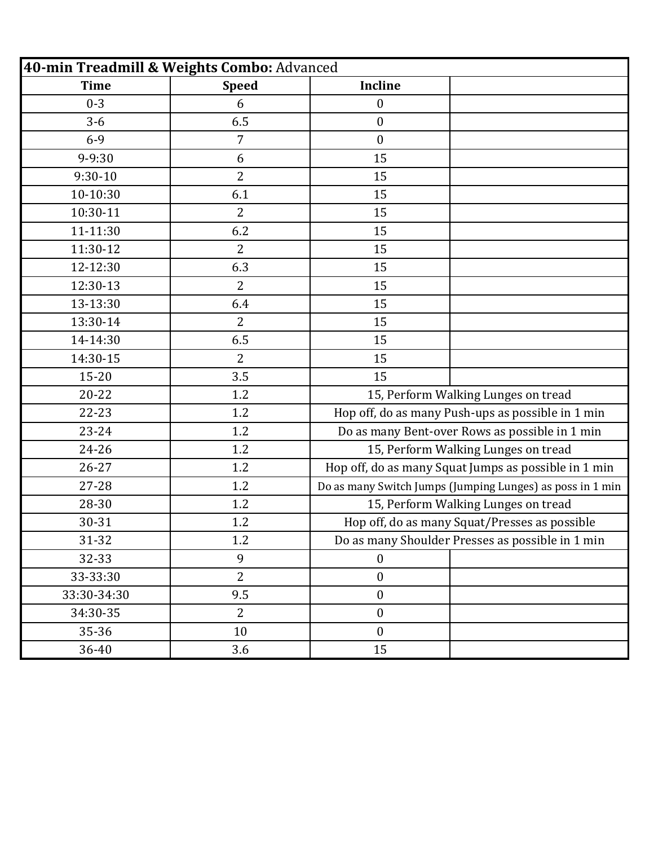| 40-min Treadmill & Weights Combo: Advanced |                |                                                   |                                                           |
|--------------------------------------------|----------------|---------------------------------------------------|-----------------------------------------------------------|
| <b>Time</b>                                | <b>Speed</b>   | <b>Incline</b>                                    |                                                           |
| $0 - 3$                                    | 6              | $\boldsymbol{0}$                                  |                                                           |
| $3-6$                                      | 6.5            | $\boldsymbol{0}$                                  |                                                           |
| $6 - 9$                                    | $\overline{7}$ | $\boldsymbol{0}$                                  |                                                           |
| 9-9:30                                     | 6              | 15                                                |                                                           |
| $9:30 - 10$                                | $\overline{2}$ | 15                                                |                                                           |
| 10-10:30                                   | 6.1            | 15                                                |                                                           |
| 10:30-11                                   | $\overline{2}$ | 15                                                |                                                           |
| 11-11:30                                   | 6.2            | 15                                                |                                                           |
| 11:30-12                                   | $\overline{2}$ | 15                                                |                                                           |
| 12-12:30                                   | 6.3            | 15                                                |                                                           |
| 12:30-13                                   | $\overline{2}$ | 15                                                |                                                           |
| 13-13:30                                   | 6.4            | 15                                                |                                                           |
| 13:30-14                                   | $\overline{2}$ | 15                                                |                                                           |
| 14-14:30                                   | 6.5            | 15                                                |                                                           |
| 14:30-15                                   | $\overline{2}$ | 15                                                |                                                           |
| $15 - 20$                                  | 3.5            | 15                                                |                                                           |
| $20 - 22$                                  | 1.2            | 15, Perform Walking Lunges on tread               |                                                           |
| $22 - 23$                                  | 1.2            | Hop off, do as many Push-ups as possible in 1 min |                                                           |
| 23-24                                      | 1.2            | Do as many Bent-over Rows as possible in 1 min    |                                                           |
| $24 - 26$                                  | 1.2            | 15, Perform Walking Lunges on tread               |                                                           |
| $26 - 27$                                  | 1.2            |                                                   | Hop off, do as many Squat Jumps as possible in 1 min      |
| 27-28                                      | 1.2            |                                                   | Do as many Switch Jumps (Jumping Lunges) as poss in 1 min |
| 28-30                                      | 1.2            | 15, Perform Walking Lunges on tread               |                                                           |
| 30-31                                      | 1.2            |                                                   | Hop off, do as many Squat/Presses as possible             |
| 31-32                                      | 1.2            |                                                   | Do as many Shoulder Presses as possible in 1 min          |
| 32-33                                      | 9              | $\overline{0}$                                    |                                                           |
| 33-33:30                                   | $\overline{2}$ | $\boldsymbol{0}$                                  |                                                           |
| 33:30-34:30                                | 9.5            | $\boldsymbol{0}$                                  |                                                           |
| 34:30-35                                   | $\overline{2}$ | $\boldsymbol{0}$                                  |                                                           |
| 35-36                                      | 10             | $\boldsymbol{0}$                                  |                                                           |
| 36-40                                      | 3.6            | 15                                                |                                                           |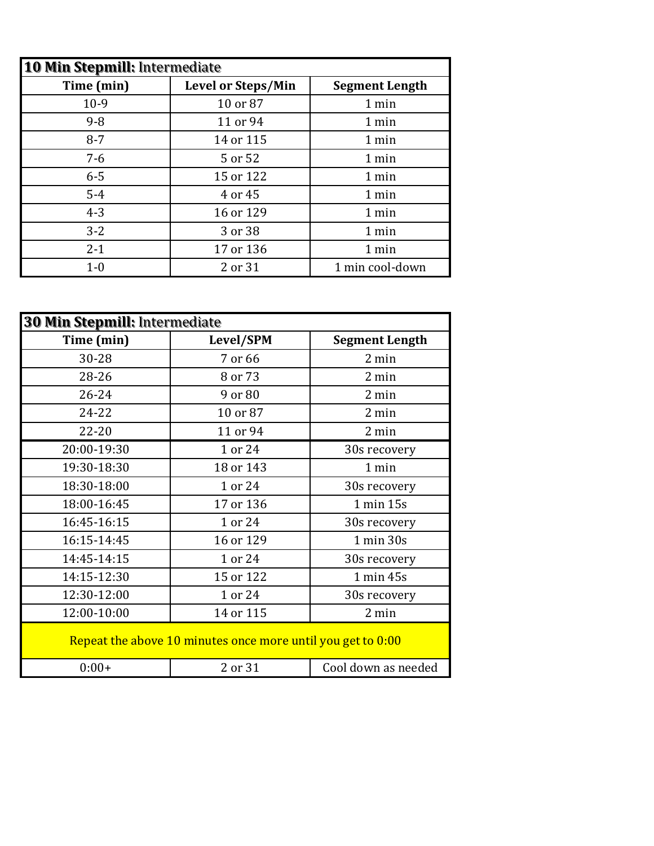| <b>10 Min Stepmill: Intermediate</b> |                           |                       |  |
|--------------------------------------|---------------------------|-----------------------|--|
| Time (min)                           | <b>Level or Steps/Min</b> | <b>Segment Length</b> |  |
| $10-9$                               | 10 or 87                  | 1 min                 |  |
| $9 - 8$                              | 11 or 94                  | 1 min                 |  |
| $8 - 7$                              | 14 or 115                 | 1 min                 |  |
| $7 - 6$                              | 5 or 52                   | 1 min                 |  |
| $6 - 5$                              | 15 or 122                 | 1 min                 |  |
| $5-4$                                | 4 or 45                   | 1 min                 |  |
| $4 - 3$                              | 16 or 129                 | 1 min                 |  |
| $3 - 2$                              | 3 or 38                   | 1 min                 |  |
| $2 - 1$                              | 17 or 136                 | 1 min                 |  |
| $1-0$                                | 2 or 31                   | 1 min cool-down       |  |

| 30 Min Stepmill: Intermediate |                                                             |                       |  |
|-------------------------------|-------------------------------------------------------------|-----------------------|--|
| Time (min)                    | Level/SPM                                                   | <b>Segment Length</b> |  |
| 30-28                         | 7 or 66                                                     | 2 min                 |  |
| 28-26                         | 8 or 73                                                     | 2 min                 |  |
| $26 - 24$                     | 9 or 80                                                     | 2 min                 |  |
| 24-22                         | 10 or 87                                                    | 2 min                 |  |
| $22 - 20$                     | 11 or 94                                                    | 2 min                 |  |
| 20:00-19:30                   | 1 or 24                                                     | 30s recovery          |  |
| 19:30-18:30                   | 18 or 143                                                   | 1 min                 |  |
| 18:30-18:00                   | 1 or 24                                                     | 30s recovery          |  |
| 18:00-16:45                   | 17 or 136                                                   | 1 min 15s             |  |
| 16:45-16:15                   | 1 or 24                                                     | 30s recovery          |  |
| 16:15-14:45                   | 16 or 129                                                   | 1 min 30s             |  |
| 14:45-14:15                   | 1 or 24                                                     | 30s recovery          |  |
| 14:15-12:30                   | 15 or 122                                                   | 1 min 45s             |  |
| 12:30-12:00                   | 1 or 24                                                     | 30s recovery          |  |
| 12:00-10:00                   | 14 or 115                                                   | 2 min                 |  |
|                               | Repeat the above 10 minutes once more until you get to 0:00 |                       |  |
| $0:00+$                       | 2 or 31                                                     | Cool down as needed   |  |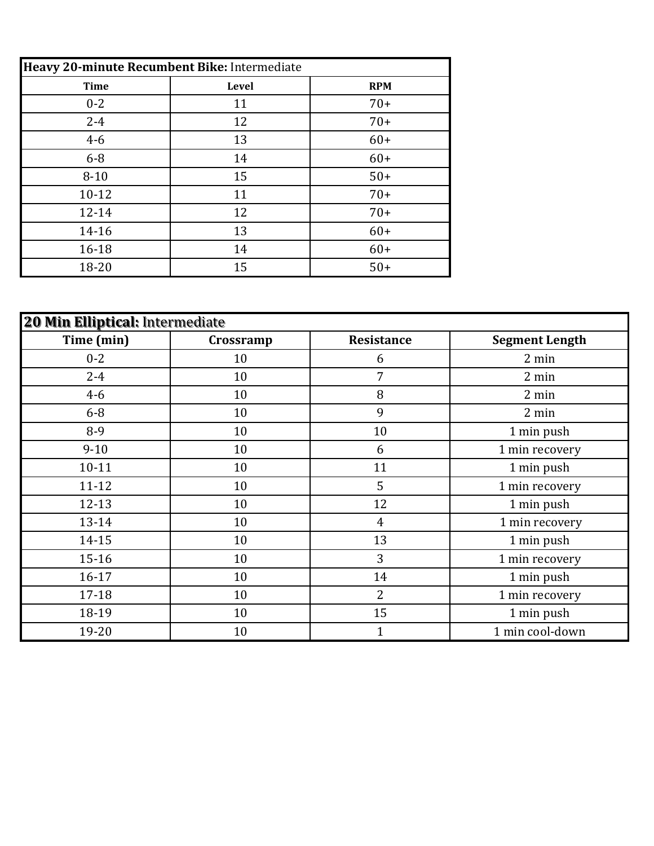| Heavy 20-minute Recumbent Bike: Intermediate |                     |       |  |
|----------------------------------------------|---------------------|-------|--|
| <b>Time</b>                                  | Level<br><b>RPM</b> |       |  |
| $0 - 2$                                      | 11                  | $70+$ |  |
| $2 - 4$                                      | 12                  | $70+$ |  |
| $4 - 6$                                      | 13                  | $60+$ |  |
| $6 - 8$                                      | 14                  | $60+$ |  |
| $8 - 10$                                     | 15                  | $50+$ |  |
| $10-12$                                      | 11                  | $70+$ |  |
| 12-14                                        | 12                  | $70+$ |  |
| 14-16                                        | 13                  | $60+$ |  |
| 16-18                                        | 14                  | $60+$ |  |
| 18-20                                        | 15                  | $50+$ |  |

| 20 Min Elliptical: Intermediate |           |                   |                       |
|---------------------------------|-----------|-------------------|-----------------------|
| Time (min)                      | Crossramp | <b>Resistance</b> | <b>Segment Length</b> |
| $0 - 2$                         | 10        | 6                 | 2 min                 |
| $2 - 4$                         | 10        | 7                 | 2 min                 |
| $4 - 6$                         | 10        | 8                 | 2 min                 |
| $6 - 8$                         | 10        | 9                 | 2 min                 |
| 8-9                             | 10        | 10                | 1 min push            |
| $9 - 10$                        | 10        | 6                 | 1 min recovery        |
| $10 - 11$                       | 10        | 11                | 1 min push            |
| $11 - 12$                       | 10        | 5                 | 1 min recovery        |
| $12 - 13$                       | 10        | 12                | 1 min push            |
| $13 - 14$                       | 10        | $\overline{4}$    | 1 min recovery        |
| $14 - 15$                       | 10        | 13                | 1 min push            |
| $15 - 16$                       | 10        | 3                 | 1 min recovery        |
| 16-17                           | 10        | 14                | 1 min push            |
| $17 - 18$                       | 10        | 2                 | 1 min recovery        |
| 18-19                           | 10        | 15                | 1 min push            |
| 19-20                           | 10        | $\mathbf{1}$      | 1 min cool-down       |